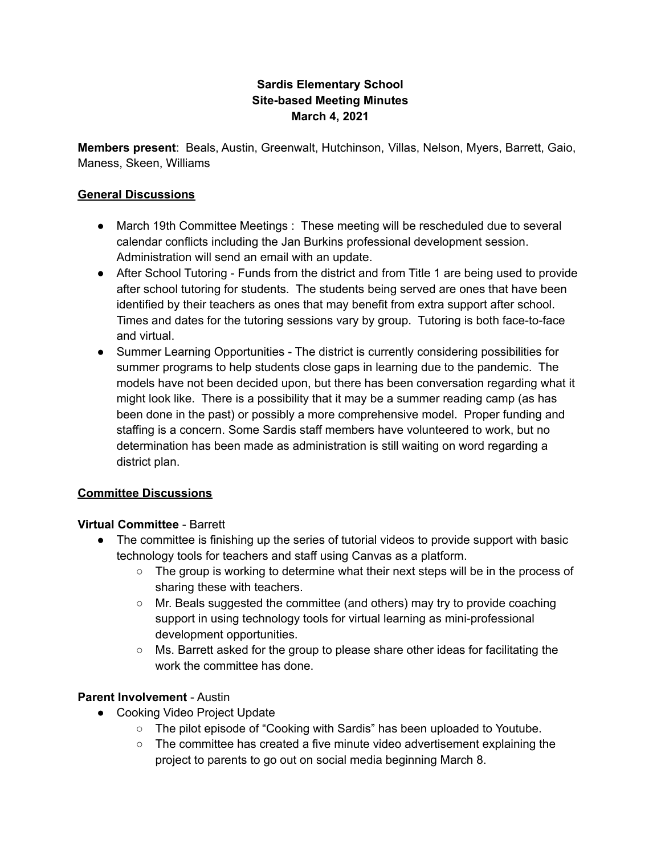## **Sardis Elementary School Site-based Meeting Minutes March 4, 2021**

**Members present**: Beals, Austin, Greenwalt, Hutchinson, Villas, Nelson, Myers, Barrett, Gaio, Maness, Skeen, Williams

#### **General Discussions**

- March 19th Committee Meetings : These meeting will be rescheduled due to several calendar conflicts including the Jan Burkins professional development session. Administration will send an email with an update.
- After School Tutoring Funds from the district and from Title 1 are being used to provide after school tutoring for students. The students being served are ones that have been identified by their teachers as ones that may benefit from extra support after school. Times and dates for the tutoring sessions vary by group. Tutoring is both face-to-face and virtual.
- Summer Learning Opportunities The district is currently considering possibilities for summer programs to help students close gaps in learning due to the pandemic. The models have not been decided upon, but there has been conversation regarding what it might look like. There is a possibility that it may be a summer reading camp (as has been done in the past) or possibly a more comprehensive model. Proper funding and staffing is a concern. Some Sardis staff members have volunteered to work, but no determination has been made as administration is still waiting on word regarding a district plan.

## **Committee Discussions**

#### **Virtual Committee** - Barrett

- The committee is finishing up the series of tutorial videos to provide support with basic technology tools for teachers and staff using Canvas as a platform.
	- $\circ$  The group is working to determine what their next steps will be in the process of sharing these with teachers.
	- $\circ$  Mr. Beals suggested the committee (and others) may try to provide coaching support in using technology tools for virtual learning as mini-professional development opportunities.
	- Ms. Barrett asked for the group to please share other ideas for facilitating the work the committee has done.

## **Parent Involvement** - Austin

- Cooking Video Project Update
	- The pilot episode of "Cooking with Sardis" has been uploaded to Youtube.
	- $\circ$  The committee has created a five minute video advertisement explaining the project to parents to go out on social media beginning March 8.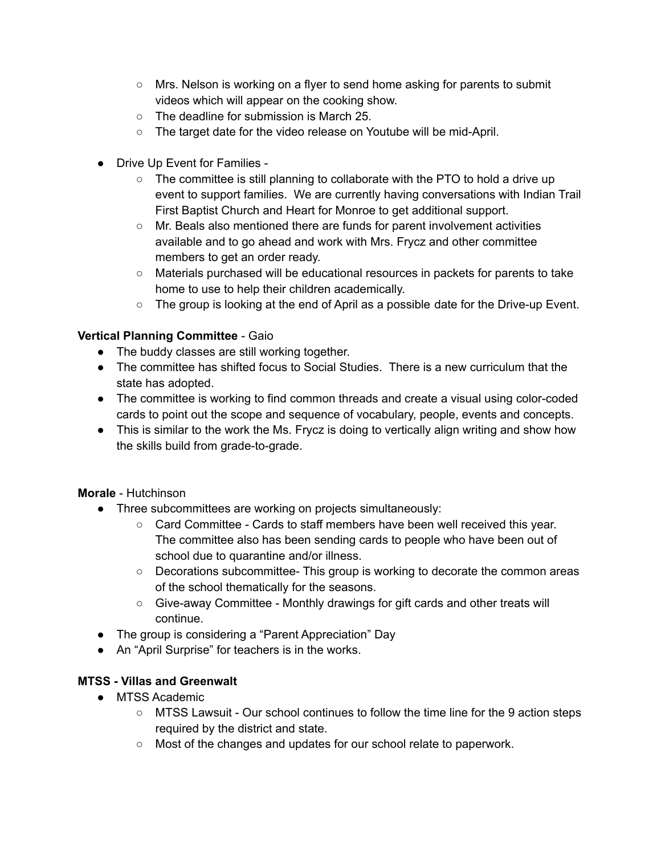- $\circ$  Mrs. Nelson is working on a flyer to send home asking for parents to submit videos which will appear on the cooking show.
- The deadline for submission is March 25.
- The target date for the video release on Youtube will be mid-April.
- Drive Up Event for Families
	- $\circ$  The committee is still planning to collaborate with the PTO to hold a drive up event to support families. We are currently having conversations with Indian Trail First Baptist Church and Heart for Monroe to get additional support.
	- Mr. Beals also mentioned there are funds for parent involvement activities available and to go ahead and work with Mrs. Frycz and other committee members to get an order ready.
	- Materials purchased will be educational resources in packets for parents to take home to use to help their children academically.
	- $\circ$  The group is looking at the end of April as a possible date for the Drive-up Event.

# **Vertical Planning Committee** - Gaio

- The buddy classes are still working together.
- The committee has shifted focus to Social Studies. There is a new curriculum that the state has adopted.
- The committee is working to find common threads and create a visual using color-coded cards to point out the scope and sequence of vocabulary, people, events and concepts.
- This is similar to the work the Ms. Frycz is doing to vertically align writing and show how the skills build from grade-to-grade.

## **Morale** - Hutchinson

- Three subcommittees are working on projects simultaneously:
	- Card Committee Cards to staff members have been well received this year. The committee also has been sending cards to people who have been out of school due to quarantine and/or illness.
	- Decorations subcommittee- This group is working to decorate the common areas of the school thematically for the seasons.
	- Give-away Committee Monthly drawings for gift cards and other treats will continue.
- The group is considering a "Parent Appreciation" Day
- An "April Surprise" for teachers is in the works.

## **MTSS - Villas and Greenwalt**

- MTSS Academic
	- MTSS Lawsuit Our school continues to follow the time line for the 9 action steps required by the district and state.
	- Most of the changes and updates for our school relate to paperwork.